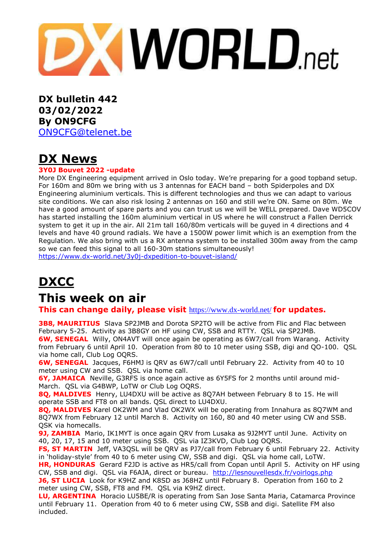

**DX bulletin 442 03/02/2022 By ON9CFG** [ON9CFG@telenet.be](mailto:ON9CFG@telenet.be)

# **DX News**

#### **3Y0J Bouvet 2022 -update**

More DX Engineering equipment arrived in Oslo today. We're preparing for a good topband setup. For 160m and 80m we bring with us 3 antennas for EACH band – both Spiderpoles and DX Engineering aluminium verticals. This is different technologies and thus we can adapt to various site conditions. We can also risk losing 2 antennas on 160 and still we're ON. Same on 80m. We have a good amount of spare parts and you can trust us we will be WELL prepared. Dave WD5COV has started installing the 160m aluminium vertical in US where he will construct a Fallen Derrick system to get it up in the air. All 21m tall 160/80m verticals will be guyed in 4 directions and 4 levels and have 40 ground radials. We have a 1500W power limit which is an exemption from the Regulation. We also bring with us a RX antenna system to be installed 300m away from the camp so we can feed this signal to all 160-30m stations simultaneously! <https://www.dx-world.net/3y0j-dxpedition-to-bouvet-island/>

**DXCC**

# **This week on air**

**This can change daily, please visit** <https://www.dx-world.net/> **for updates.**

**3B8, MAURITIUS** Slava SP2JMB and Dorota SP2TO will be active from Flic and Flac between February 5-25. Activity as 3B8GY on HF using CW, SSB and RTTY. QSL via SP2JMB.

**6W, SENEGAL** Willy, ON4AVT will once again be operating as 6W7/call from Warang. Activity from February 6 until April 10. Operation from 80 to 10 meter using SSB, digi and QO-100. QSL via home call, Club Log OQRS.

**6W, SENEGAL** Jacques, F6HMJ is QRV as 6W7/call until February 22. Activity from 40 to 10 meter using CW and SSB. QSL via home call.

**6Y, JAMAICA** Neville, G3RFS is once again active as 6Y5FS for 2 months until around mid-March. QSL via G4BWP, LoTW or Club Log OQRS.

**8Q, MALDIVES** Henry, LU4DXU will be active as 8Q7AH between February 8 to 15. He will operate SSB and FT8 on all bands. QSL direct to LU4DXU.

**8Q, MALDIVES** Karel OK2WM and Vlad OK2WX will be operating from Innahura as 8Q7WM and 8Q7WX from February 12 until March 8. Activity on 160, 80 and 40 meter using CW and SSB. QSK via homecalls.

**9J, ZAMBIA** Mario, IK1MYT is once again QRV from Lusaka as 9J2MYT until June. Activity on 40, 20, 17, 15 and 10 meter using SSB. QSL via IZ3KVD, Club Log OQRS.

**FS, ST MARTIN** Jeff, VA3QSL will be QRV as PJ7/call from February 6 until February 22. Activity in 'holiday-style' from 40 to 6 meter using CW, SSB and digi. QSL via home call, LoTW.

**HR, HONDURAS** Gerard F2JD is active as HR5/call from Copan until April 5. Activity on HF using CW, SSB and digi. QSL via F6AJA, direct or bureau. <http://lesnouvellesdx.fr/voirlogs.php>

**J6, ST LUCIA** Look for K9HZ and K8SD as J68HZ until February 8. Operation from 160 to 2 meter using CW, SSB, FT8 and FM. QSL via K9HZ direct.

**LU, ARGENTINA** Horacio LU5BE/R is operating from San Jose Santa Maria, Catamarca Province until February 11. Operation from 40 to 6 meter using CW, SSB and digi. Satellite FM also included.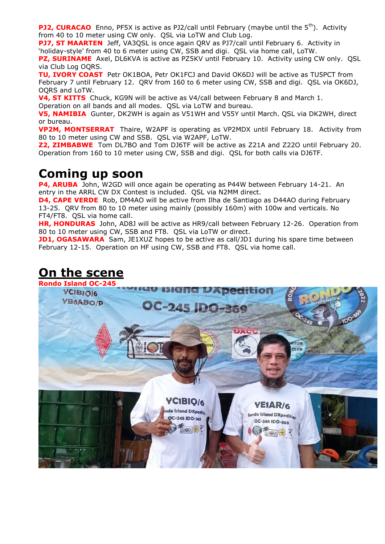**PJ2, CURACAO** Enno, PF5X is active as PJ2/call until February (maybe until the 5<sup>th</sup>). Activity from 40 to 10 meter using CW only. QSL via LoTW and Club Log.

**PJ7, ST MAARTEN** Jeff, VA3QSL is once again QRV as PJ7/call until February 6. Activity in 'holiday-style' from 40 to 6 meter using CW, SSB and digi. QSL via home call, LoTW.

**PZ, SURINAME** Axel, DL6KVA is active as PZ5KV until February 10. Activity using CW only. QSL via Club Log OQRS.

**TU, IVORY COAST** Petr OK1BOA, Petr OK1FCJ and David OK6DJ will be active as TU5PCT from February 7 until February 12. QRV from 160 to 6 meter using CW, SSB and digi. QSL via OK6DJ, OQRS and LoTW.

**V4, ST KITTS** Chuck, KG9N will be active as V4/call between February 8 and March 1. Operation on all bands and all modes. QSL via LoTW and bureau.

**V5, NAMIBIA** Gunter, DK2WH is again as V51WH and V55Y until March. QSL via DK2WH, direct or bureau.

**VP2M, MONTSERRAT** Thaire, W2APF is operating as VP2MDX until February 18. Activity from 80 to 10 meter using CW and SSB. QSL via W2APF, LoTW.

**Z2, ZIMBABWE** Tom DL7BO and Tom DJ6TF will be active as Z21A and Z22O until February 20. Operation from 160 to 10 meter using CW, SSB and digi. QSL for both calls via DJ6TF.

### **Coming up soon**

**P4, ARUBA** John, W2GD will once again be operating as P44W between February 14-21. An entry in the ARRL CW DX Contest is included. QSL via N2MM direct.

**D4, CAPE VERDE** Rob, DM4AO will be active from Ilha de Santiago as D44AO during February 13-25. QRV from 80 to 10 meter using mainly (possibly 160m) with 100w and verticals. No FT4/FT8. QSL via home call.

**HR, HONDURAS** John, AD8J will be active as HR9/call between February 12-26. Operation from 80 to 10 meter using CW, SSB and FT8. QSL via LoTW or direct.

**JD1, OGASAWARA** Sam, JE1XUZ hopes to be active as call/JD1 during his spare time between February 12-15. Operation on HF using CW, SSB and FT8. QSL via home call.

### **On the scene**

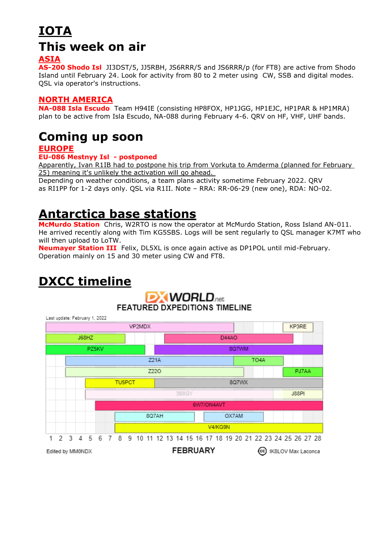# **IOTA This week on air**

### **ASIA**

**AS-200 Shodo Isl** JI3DST/5, JJ5RBH, JS6RRR/5 and JS6RRR/p (for FT8) are active from Shodo Island until February 24. Look for activity from 80 to 2 meter using CW, SSB and digital modes. QSL via operator's instructions.

#### **NORTH AMERICA**

**NA-088 Isla Escudo** Team H94IE (consisting HP8FOX, HP1JGG, HP1EJC, HP1PAR & HP1MRA) plan to be active from Isla Escudo, NA-088 during February 4-6. QRV on HF, VHF, UHF bands.

# **Coming up soon**

### **EUROPE**

#### **EU-086 Mestnyy Isl - postponed**

Apparently, Ivan R1IB had to postpone his trip from Vorkuta to Amderma (planned for February 25) meaning it's unlikely the activation will go ahead.

Depending on weather conditions, a team plans activity sometime February 2022. QRV as RI1PP for 1-2 days only. QSL via R1II. Note – RRA: RR-06-29 (new one), RDA: NO-02.

# **Antarctica base stations**

**McMurdo Station** Chris, W2RTO is now the operator at McMurdo Station, Ross Island AN-011. He arrived recently along with Tim KG5SBS. Logs will be sent regularly to QSL manager K7MT who will then upload to LoTW.

**Neumayer Station III** Felix, DL5XL is once again active as DP1POL until mid-February. Operation mainly on 15 and 30 meter using CW and FT8.

# **DXCC timeline**

#### **DXWORLD**<sub>net</sub> **FEATURED DXPEDITIONS TIMELINE** Last update: February 1, 2022 VP2MDX KP3RE J68HZ D44AO PZ5KV 8Q7WM TO<sub>4</sub>A 721A Z220 PJ7AA **TU5PCT** 8Q7WX 3B8GY **J88PI** 6W7/ON4AVT 8Q7AH OX7AM V4/KG9N  $\mathbf{1}$ 2 3 5 6 7 8 9 10 11 12 13 14 15 16 17 18 19 20 21 22 23 24 25 26 27 28 4 **FEBRUARY** Edited by MM0NDX (cc) IK8LOV Max Laconca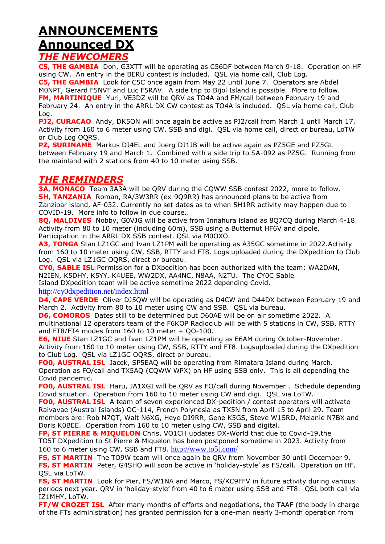### **ANNOUNCEMENTS Announced DX** *THE NEWCOMERS*

**C5, THE GAMBIA** Don, G3XTT will be operating as C56DF between March 9-18. Operation on HF using CW. An entry in the BERU contest is included. QSL via home call, Club Log.

**C5, THE GAMBIA** Look for C5C once again from May 22 until June 7. Operators are Abdel M0NPT, Gerard F5NVF and Luc F5RAV. A side trip to Bijol Island is possible. More to follow. **FM, MARTINIQUE** Yuri, VE3DZ will be QRV as TO4A and FM/call between February 19 and February 24. An entry in the ARRL DX CW contest as TO4A is included. QSL via home call, Club Log.

**PJ2, CURACAO** Andy, DK5ON will once again be active as PJ2/call from March 1 until March 17. Activity from 160 to 6 meter using CW, SSB and digi. QSL via home call, direct or bureau, LoTW or Club Log OQRS.

**PZ, SURINAME** Markus DJ4EL and Joerg DJ1JB will be active again as PZ5GE and PZ5GL between February 19 and March 1. Combined with a side trip to SA-092 as PZ5G. Running from the mainland with 2 stations from 40 to 10 meter using SSB.

### *THE REMINDERS*

**3A, MONACO** Team 3A3A will be QRV during the CQWW SSB contest 2022, more to follow. **5H, TANZANIA** Roman, RA/3W3RR (ex-9Q9RR) has announced plans to be active from Zanzibar island, AF-032. Currently no set dates as to when 5H1RR activity may happen due to COVID-19. More info to follow in due course..

**8Q, MALDIVES** Nobby, G0VJG will be active from Innahura island as 8Q7CQ during March 4-18. Activity from 80 to 10 meter (including 60m), SSB using a Butternut HF6V and dipole. Participation in the ARRL DX SSB contest. QSL via M0OXO.

**A3, TONGA** Stan LZ1GC and Ivan LZ1PM will be operating as A35GC sometime in 2022.Activity from 160 to 10 meter using CW, SSB, RTTY and FT8. Logs uploaded during the DXpedition to Club Log. QSL via LZ1GC OQRS, direct or bureau.

**CY0, SABLE ISL** Permission for a DXpedition has been authorized with the team: WA2DAN, N2IEN, K5DHY, K5YY, K4UEE, WW2DX, AA4NC, N8AA, N2TU. The CY0C Sable Island DXpedition team will be active sometime 2022 depending Covid.

<http://cy0dxpedition.net/index.html>

**D4, CAPE VERDE** Oliver DJ5QW will be operating as D4CW and D44DX between February 19 and March 2. Activity from 80 to 10 meter using CW and SSB. QSL via bureau.

**D6, COMOROS** Dates still to be determined but D60AE will be on air sometime 2022. A multinational 12 operators team of the F6KOP Radioclub will be with 5 stations in CW, SSB, RTTY and FT8/FT4 modes from 160 to 10 meter  $+$  QO-100.

**E6, NIUE** Stan LZ1GC and Ivan LZ1PM will be operating as E6AM during October-November. Activity from 160 to 10 meter using CW, SSB, RTTY and FT8. Logsuploaded during the DXpedition to Club Log. QSL via LZ1GC OQRS, direct or bureau.

**FO0, AUSTRAL ISL** Jacek, SP5EAQ will be operating from Rimatara Island during March. Operation as FO/call and TX5AQ (CQWW WPX) on HF using SSB only. This is all depending the Covid pandemic.

**FO0, AUSTRAL ISL** Haru, JA1XGI will be QRV as FO/call during November . Schedule depending Covid situation. Operation from 160 to 10 meter using CW and digi. QSL via LoTW.

**FO0, AUSTRAL ISL** A team of seven experienced DX-pedition / contest operators will activate Raivavae (Austral Islands) OC-114, French Polynesia as TX5N from April 15 to April 29. Team members are: Rob N7QT, Walt N6XG, Heye DJ9RR, Gene K5GS, Steve W1SRD, Melanie N7BX and Doris K0BEE. Operation from 160 to 10 meter using CW, SSB and digital.

**FP, ST PIERRE & MIQUELON** Chris, VO1CH updates DX-World that due to Covid-19,the TO5T DXpedition to St Pierre & Miquelon has been postponed sometime in 2023. Activity from 160 to 6 meter using CW, SSB and FT8. <http://www.to5t.com/>

**FS, ST MARTIN** The TO9W team will once again be QRV from November 30 until December 9.

**FS, ST MARTIN** Peter, G4SHO will soon be active in 'holiday-style' as FS/call. Operation on HF. QSL via LoTW.

**FS, ST MARTIN** Look for Pier, FS/W1NA and Marco, FS/KC9FFV in future activity during various periods next year. QRV in 'holiday-style' from 40 to 6 meter using SSB and FT8. QSL both call via IZ1MHY, LoTW.

**FT/W CROZET ISL** After many months of efforts and negotiations, the TAAF (the body in charge of the FTs administration) has granted permission for a one-man nearly 3-month operation from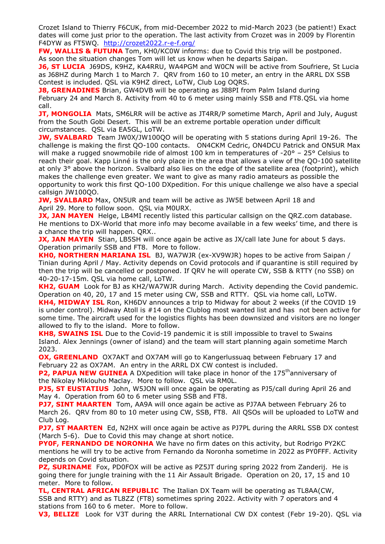Crozet Island to Thierry F6CUK, from mid-December 2022 to mid-March 2023 (be patient!) Exact dates will come just prior to the operation. The last activity from Crozet was in 2009 by Florentin F4DYW as FT5WQ. <http://crozet2022.r-e-f.org/>

**FW, WALLIS & FUTUNA** Tom, KH0/KC0W informs: due to Covid this trip will be postponed. As soon the situation changes Tom will let us know when he departs Saipan.

**J6, ST LUCIA** J69DS, K9HZ, KA4RRU, WA4PGM and W0CN will be active from Soufriere, St Lucia as J68HZ during March 1 to March 7. QRV from 160 to 10 meter, an entry in the ARRL DX SSB Contest is included. QSL via K9HZ direct, LoTW, Club Log OQRS.

**J8, GRENADINES** Brian, GW4DVB will be operating as J88PI from Palm Island during February 24 and March 8. Activity from 40 to 6 meter using mainly SSB and FT8.QSL via home call.

**JT, MONGOLIA** Mats, SM6LRR will be active as JT4RR/P sometime March, April and July, August from the South Gobi Desert. This will be an extreme portable operation under difficult circumstances. QSL via EA5GL, LoTW.

**JW, SVALBARD** Team JW0X/JW100QO will be operating with 5 stations during April 19-26. The challenge is making the first QO-100 contacts. ON4CKM Cedric, ON4DCU Patrick and ON5UR Max will make a rugged snowmobile ride of almost 100 km in temperatures of -20 $\degree$  – 25 $\degree$  Celsius to reach their goal. Kapp Linné is the only place in the area that allows a view of the QO-100 satellite at only 3° above the horizon. Svalbard also lies on the edge of the satellite area (footprint), which makes the challenge even greater. We want to give as many radio amateurs as possible the opportunity to work this first QO-100 DXpedition. For this unique challenge we also have a special callsign JW100QO.

**JW, SVALBARD** Max, ON5UR and team will be active as JW5E between April 18 and April 29. More to follow soon. QSL via M0URX.

**JX, JAN MAYEN** Helge, LB4MI recently listed this particular callsign on the QRZ.com database. He mentions to DX-World that more info may become available in a few weeks' time, and there is a chance the trip will happen. QRX..

**JX, JAN MAYEN** Stian, LB5SH will once again be active as JX/call late June for about 5 days. Operation primarily SSB and FT8. More to follow.

**KH0, NORTHERN MARIANA ISL** BJ, WA7WJR (ex-XV9WJR) hopes to be active from Saipan / Tinian during April / May. Activity depends on Covid protocols and if quarantine is still required by then the trip will be cancelled or postponed. If QRV he will operate CW, SSB & RTTY (no SSB) on 40-20-17-15m. QSL via home call, LoTW.

**KH2, GUAM** Look for BJ as KH2/WA7WJR during March. Activity depending the Covid pandemic. Operation on 40, 20, 17 and 15 meter using CW, SSB and RTTY. QSL via home call, LoTW.

**KH4, MIDWAY ISL** Ron, KH6DV announces a trip to Midway for about 2 weeks (if the COVID 19 is under control). Midway Atoll is #14 on the Clublog most wanted list and has not been active for some time. The aircraft used for the logistics flights has been downsized and visitors are no longer allowed to fly to the island. More to follow.

**KH8, SWAINS ISL** Due to the Covid-19 pandemic it is still impossible to travel to Swains Island. Alex Jennings (owner of island) and the team will start planning again sometime March 2023.

**OX, GREENLAND** OX7AKT and OX7AM will go to Kangerlussuag between February 17 and February 22 as OX7AM. An entry in the ARRL DX CW contest is included.

**P2, PAPUA NEW GUINEA** A DXpedition will take place in honor of the 175<sup>th</sup>anniversary of the Nikolay Miklouho Maclay. More to follow. QSL via RM0L.

**PJ5, ST EUSTATIUS** John, W5JON will once again be operating as PJ5/call during April 26 and May 4. Operation from 60 to 6 meter using SSB and FT8.

**PJ7, SINT MAARTEN** Tom, AA9A will once again be active as PJ7AA between February 26 to March 26. QRV from 80 to 10 meter using CW, SSB, FT8. All QSOs will be uploaded to LoTW and Club Log.

**PJ7, ST MAARTEN** Ed, N2HX will once again be active as PJ7PL during the ARRL SSB DX contest (March 5-6). Due to Covid this may change at short notice.

**PY0F, FERNANDO DE NORONHA** We have no firm dates on this activity, but Rodrigo PY2KC mentions he will try to be active from Fernando da Noronha sometime in 2022 as PY0FFF. Activity depends on Covid situation.

**PZ, SURINAME** Fox, PD0FOX will be active as PZ5JT during spring 2022 from Zanderij. He is going there for jungle training with the 11 Air Assault Brigade. Operation on 20, 17, 15 and 10 meter. More to follow.

**TL, CENTRAL AFRICAN REPUBLIC** The Italian DX Team will be operating as TL8AA(CW, SSB and RTTY) and as TL8ZZ (FT8) sometimes spring 2022. Activity with 7 operators and 4 stations from 160 to 6 meter. More to follow.

**V3, BELIZE** Look for V3T during the ARRL International CW DX contest (Febr 19-20). QSL via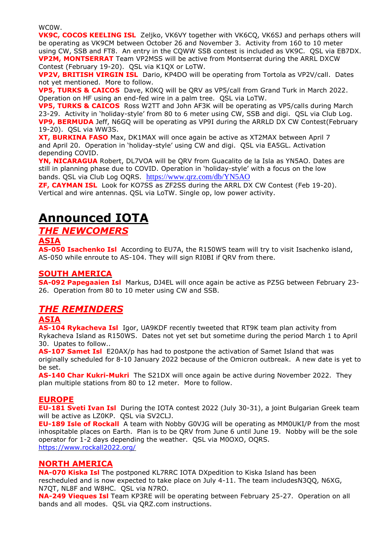WC0W.

**VK9C, COCOS KEELING ISL** Zeljko, VK6VY together with VK6CQ, VK6SJ and perhaps others will be operating as VK9CM between October 26 and November 3. Activity from 160 to 10 meter using CW, SSB and FT8. An entry in the CQWW SSB contest is included as VK9C. QSL via EB7DX. **VP2M, MONTSERRAT** Team VP2MSS will be active from Montserrat during the ARRL DXCW Contest (February 19-20). QSL via K1QX or LoTW.

**VP2V, BRITISH VIRGIN ISL** Dario, KP4DO will be operating from Tortola as VP2V/call. Dates not yet mentioned. More to follow.

**VP5, TURKS & CAICOS** Dave, K0KQ will be QRV as VP5/call from Grand Turk in March 2022. Operation on HF using an end-fed wire in a palm tree. QSL via LoTW.

**VP5, TURKS & CAICOS** Ross W2TT and John AF3K will be operating as VP5/calls during March 23-29. Activity in 'holiday-style' from 80 to 6 meter using CW, SSB and digi. QSL via Club Log. **VP9, BERMUDA** Jeff, N6GQ will be operating as VP9I during the ARRLD DX CW Contest(February 19-20). QSL via WW3S.

**XT, BURKINA FASO** Max, DK1MAX will once again be active as XT2MAX between April 7 and April 20. Operation in 'holiday-style' using CW and digi. QSL via EA5GL. Activation depending COVID.

**YN, NICARAGUA** Robert, DL7VOA will be QRV from Guacalito de la Isla as YN5AO. Dates are still in planning phase due to COVID. Operation in 'holiday-style' with a focus on the low bands. QSL via Club Log OQRS. <https://www.qrz.com/db/YN5AO>

**ZF, CAYMAN ISL** Look for KO7SS as ZF2SS during the ARRL DX CW Contest (Feb 19-20). Vertical and wire antennas. QSL via LoTW. Single op, low power activity.

# **Announced IOTA**

### *THE NEWCOMERS*

#### **ASIA**

**AS-050 Isachenko Isl** According to EU7A, the R150WS team will try to visit Isachenko island, AS-050 while enroute to AS-104. They will sign RI0BI if QRV from there.

### **SOUTH AMERICA**

**SA-092 Papegaaien Isl** Markus, DJ4EL will once again be active as PZ5G between February 23- 26. Operation from 80 to 10 meter using CW and SSB.

### *THE REMINDERS*

#### **ASIA**

**AS-104 Rykacheva Isl** Igor, UA9KDF recently tweeted that RT9K team plan activity from Rykacheva Island as R150WS. Dates not yet set but sometime during the period March 1 to April 30. Upates to follow..

**AS-107 Samet Isl** E20AX/p has had to postpone the activation of Samet Island that was originally scheduled for 8-10 January 2022 because of the Omicron outbreak. A new date is yet to be set.

**AS-140 Char Kukri-Mukri** The S21DX will once again be active during November 2022. They plan multiple stations from 80 to 12 meter. More to follow.

#### **EUROPE**

**EU-181 Sveti Ivan Isl** During the IOTA contest 2022 (July 30-31), a joint Bulgarian Greek team will be active as LZ0KP. QSL via SV2CLJ.

**EU-189 Isle of Rockall** A team with Nobby G0VJG will be operating as MM0UKI/P from the most inhospitable places on Earth. Plan is to be QRV from June 6 until June 19. Nobby will be the sole operator for 1-2 days depending the weather. QSL via M0OXO, OQRS. <https://www.rockall2022.org/>

#### **NORTH AMERICA**

**NA-070 Kiska Isl** The postponed KL7RRC IOTA DXpedition to Kiska Island has been rescheduled and is now expected to take place on July 4-11. The team includesN3QQ, N6XG, N7QT, NL8F and W8HC. QSL via N7RO.

**NA-249 Vieques Isl** Team KP3RE will be operating between February 25-27. Operation on all bands and all modes. QSL via QRZ.com instructions.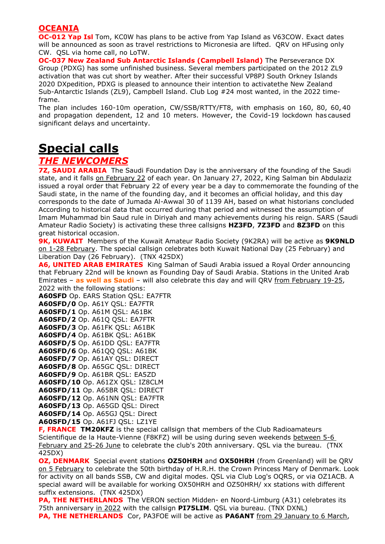### **OCEANIA**

**OC-012 Yap Isl** Tom, KC0W has plans to be active from Yap Island as V63COW. Exact dates will be announced as soon as travel restrictions to Micronesia are lifted. QRV on HFusing only CW. QSL via home call, no LoTW.

**OC-037 New Zealand Sub Antarctic Islands (Campbell Island)** The Perseverance DX Group (PDXG) has some unfinished business. Several members participated on the 2012 ZL9 activation that was cut short by weather. After their successful VP8PJ South Orkney Islands 2020 DXpedition, PDXG is pleased to announce their intention to activatethe New Zealand Sub-Antarctic Islands (ZL9), Campbell Island. Club Log #24 most wanted, in the 2022 timeframe.

The plan includes 160-10m operation, CW/SSB/RTTY/FT8, with emphasis on 160, 80, 60, 40 and propagation dependent, 12 and 10 meters. However, the Covid-19 lockdown has caused significant delays and uncertainty.

# **Special calls**

### *THE NEWCOMERS*

**7Z, SAUDI ARABIA** The Saudi Foundation Day is the anniversary of the founding of the Saudi state, and it falls on February 22 of each year. On January 27, 2022, King Salman bin Abdulaziz issued a royal order that February 22 of every year be a day to commemorate the founding of the Saudi state, in the name of the founding day, and it becomes an official holiday, and this day corresponds to the date of Jumada Al-Awwal 30 of 1139 AH, based on what historians concluded According to historical data that occurred during that period and witnessed the assumption of Imam Muhammad bin Saud rule in Diriyah and many achievements during his reign. SARS (Saudi Amateur Radio Society) is activating these three callsigns **HZ3FD**, **7Z3FD** and **8Z3FD** on this great historical occasion.

**9K, KUWAIT** Members of the Kuwait Amateur Radio Society (9K2RA) will be active as **9K9NLD** on 1-28 February. The special callsign celebrates both Kuwait National Day (25 February) and Liberation Day (26 February). (TNX 425DX)

**A6, UNITED ARAB EMIRATES** King Salman of Saudi Arabia issued a Royal Order announcing that February 22nd will be known as Founding Day of Saudi Arabia. Stations in the United Arab Emirates – **as well as [Saudi](https://www.dx-world.net/7z3fd-8z3fd-hz3fd-saudi-arabia/)** – will also celebrate this day and will QRV from February 19-25, 2022 with the following stations:

**A60SFD** Op. EARS Station QSL: EA7FTR **A60SFD/0** Op. A61Y QSL: EA7FTR **A60SFD/1** Op. A61M QSL: A61BK **A60SFD/2** Op. A61Q QSL: EA7FTR **A60SFD/3** Op. A61FK QSL: A61BK **A60SFD/4** Op. A61BK QSL: A61BK **A60SFD/5** Op. A61DD QSL: EA7FTR **A60SFD/6** Op. A61QQ QSL: A61BK **A60SFD/7** Op. A61AY QSL: DIRECT **A60SFD/8** Op. A65GC QSL: DIRECT **A60SFD/9** Op. A61BR QSL: EA5ZD **A60SFD/10** Op. A61ZX QSL: IZ8CLM **A60SFD/11** Op. A65BR QSL: DIRECT **A60SFD/12** Op. A61NN QSL: EA7FTR **A60SFD/13** Op. A65GD QSL: Direct **A60SFD/14** Op. A65GJ QSL: Direct **A60SFD/15** Op. A61FJ QSL: LZ1YE

**F, FRANCE TM20KFZ** is the special callsign that members of the Club Radioamateurs Scientifique de la Haute-Vienne (F8KFZ) will be using during seven weekends between 5-6 February and 25-26 June to celebrate the club's 20th anniversary. QSL via the bureau. (TNX 425DX)

**OZ, DENMARK** Special event stations **OZ50HRH** and **OX50HRH** (from Greenland) will be QRV on 5 February to celebrate the 50th birthday of H.R.H. the Crown Princess Mary of Denmark. Look for activity on all bands SSB, CW and digital modes. QSL via Club Log's OQRS, or via OZ1ACB. A special award will be available for working OX50HRH and OZ50HRH/ xx stations with different suffix extensions. (TNX 425DX)

**PA, THE NETHERLANDS** The VERON section Midden- en Noord-Limburg (A31) celebrates its 75th anniversary in 2022 with the callsign **PI75LIM**. QSL via bureau. (TNX DXNL) **PA, THE NETHERLANDS** Cor, PA3FOE will be active as **PA6ANT** from 29 January to 6 March,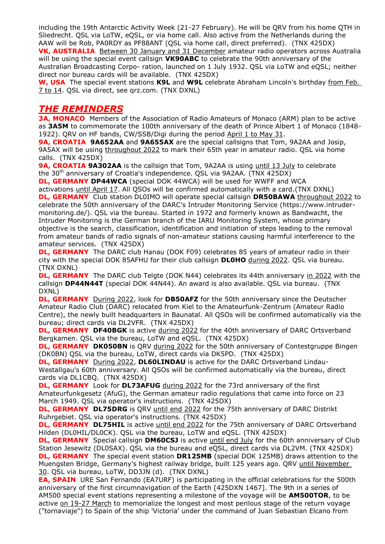including the 19th Antarctic Activity Week (21-27 February). He will be QRV from his home QTH in Sliedrecht. QSL via LoTW, eQSL, or via home call. Also active from the Netherlands during the AAW will be Rob, PA0RDY as PF88ANT (QSL via home call, direct preferred). (TNX 425DX) **VK, AUSTRALIA** Between 30 January and 31 December amateur radio operators across Australia will be using the special event callsign **VK90ABC** to celebrate the 90th anniversary of the Australian Broadcasting Corpo- ration, launched on 1 July 1932. QSL via LoTW and eQSL; neither direct nor bureau cards will be available. (TNX 425DX)

**W, USA** The special event stations **K9L** and **W9L** celebrate Abraham Lincoln's birthday from Feb. 7 to 14. QSL via direct, see qrz.com. (TNX DXNL)

### *THE REMINDERS*

**3A, MONACO** Members of the Association of Radio Amateurs of Monaco (ARM) plan to be active as **3A5M** to commemorate the 100th anniversary of the death of Prince Albert 1 of Monaco (1848- 1922). QRV on HF bands, CW/SSB/Digi during the period April 1 to May 31.

**9A, CROATIA 9A652AA** and **9A655AX** are the special callsigns that Tom, 9A2AA and Josip, 9A5AX will be using throughout 2022 to mark their 65th year in amateur radio. QSL via home calls. (TNX 425DX)

**9A, CROATIA 9A302AA** is the callsign that Tom, 9A2AA is using until 13 July to celebrate the 30<sup>th</sup> anniversary of Croatia's independence. QSL via 9A2AA. (TNX 425DX)

**DL, GERMANY DP44WCA** (special DOK 44WCA) will be used for WWFF and WCA

activations until April 17. All QSOs will be confirmed automatically with a card.(TNX DXNL) **DL, GERMANY** Club station DL0IMO will operate special callsign **DR50BAWA** throughout 2022 to celebrate the 50th anniversary of the DARC's Intruder Monitoring Service (https://www.intrudermonitoring.de/). QSL via the bureau. Started in 1972 and formerly known as Bandwacht, the Intruder Monitoring is the German branch of the IARU Monitoring System, whose primary objective is the search, classification, identification and initiation of steps leading to the removal from amateur bands of radio signals of non-amateur stations causing harmful interference to the amateur services. (TNX 425DX)

**DL, GERMANY** The DARC club Hanau (DOK F09) celebrates 85 years of amateur radio in their city with the special DOK 85AFHU for their club callsign **DL0HO** during 2022. QSL via bureau. (TNX DXNL)

**DL, GERMANY** The DARC club Telgte (DOK N44) celebrates its 44th anniversary in 2022 with the callsign **DP44N44T** (special DOK 44N44). An award is also available. QSL via bureau. (TNX DXNL)

**DL, GERMANY** During 2022, look for **DB50AFZ** for the 50th anniversary since the Deutscher Amateur Radio Club (DARC) relocated from Kiel to the Amateurfunk-Zentrum (Amateur Radio Centre), the newly built headquarters in Baunatal. All QSOs will be confirmed automatically via the bureau; direct cards via DL2VFR. (TNX 425DX)

**DL, GERMANY DF40BGK** is active during 2022 for the 40th anniversary of DARC Ortsverband Bergkamen. QSL via the bureau, LoTW and eQSL. (TNX 425DX)

**DL, GERMANY DK050BN** is QRV during 2022 for the 50th anniversary of Contestgruppe Bingen (DK0BN) QSL via the bureau, LoTW, direct cards via DK5PD. (TNX 425DX)

**DL, GERMANY** During 2022, DL60LINDAU is active for the DARC Ortsverband Lindau-Westallgau's 60th anniversary. All QSOs will be confirmed automatically via the bureau, direct cards via DL1CBQ. (TNX 425DX)

**DL, GERMANY** Look for **DL73AFUG** during 2022 for the 73rd anniversary of the first Amateurfunkgesetz (AfuG), the German amateur radio regulations that came into force on 23 March 1949. QSL via operator's instructions. (TNX 425DX)

**DL, GERMANY DL75DRG** is QRV until end 2022 for the 75th anniversary of DARC Distrikt Ruhrgebiet. QSL via operator's instructions. (TNX 425DX)

**DL, GERMANY DL75HIL** is active until end 2022 for the 75th anniversary of DARC Ortsverband Hilden (DL0HIL/DL0CK). QSL via the bureau, LoTW and eQSL. (TNX 425DX)

**DL, GERMANY** Special callsign **DM60CSJ** is active until end July for the 60th anniversary of Club Station Jesewitz (DL0SAX). QSL via the bureau and eQSL, direct cards via DL2VM. (TNX 425DX) **DL, GERMANY** The special event station **DR125MB** (special DOK 125MB) draws attention to the Muengsten Bridge, Germany's highest railway bridge, built 125 years ago. QRV until November 30. QSL via bureau, LoTW, DD3JN (d). (TNX DXNL)

**EA, SPAIN** URE San Fernando (EA7URF) is participating in the official celebrations for the 500th anniversary of the first circumnavigation of the Earth [425DXN 1467]. The 9th in a series of AM500 special event stations representing a milestone of the voyage will be **AM500TOR**, to be active on 19-27 March to memorialize the longest and most perilous stage of the return voyage ("tornaviaje") to Spain of the ship 'Victoria' under the command of Juan Sebastian Elcano from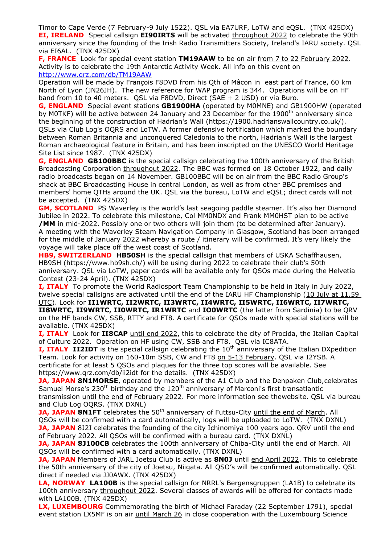Timor to Cape Verde (7 February-9 July 1522). QSL via EA7URF, LoTW and eQSL. (TNX 425DX) **EI, IRELAND**Special callsign **EI90IRTS** will be activated throughout 2022 to celebrate the 90th anniversary since the founding of the Irish Radio Transmitters Society, Ireland's IARU society. QSL via EI6AL. (TNX 425DX)

**F, FRANCE** Look for special event station **TM19AAW** to be on air from 7 to 22 February 2022. Activity is to celebrate the 19th Antarctic Activity Week. All info on this event on <http://www.qrz.com/db/TM19AAW>

Operation will be made by François F8DVD from his Qth of Mâcon in east part of France, 60 km North of Lyon (JN26JH). The new reference for WAP program is 344. Operations will be on HF band from 10 to 40 meters. QSL via F8DVD, Direct (SAE + 2 USD) or via Buro.

**G, ENGLAND** Special event stations **GB1900HA** (operated by M0MNE) and GB1900HW (operated by M0TKF) will be active between 24 January and 23 December for the 1900<sup>th</sup> anniversary since the beginning of the construction of Hadrian's Wall (https://1900.hadrianswallcountry.co.uk/). QSLs via Club Log's OQRS and LoTW. A former defensive fortification which marked the boundary between Roman Britannia and unconquered Caledonia to the north, Hadrian's Wall is the largest Roman archaeological feature in Britain, and has been inscripted on the UNESCO World Heritage Site List since 1987. (TNX 425DX)

**G, ENGLAND GB100BBC** is the special callsign celebrating the 100th anniversary of the British Broadcasting Corporation throughout 2022. The BBC was formed on 18 October 1922, and daily radio broadcasts began on 14 November. GB100BBC will be on air from the BBC Radio Group's shack at BBC Broadcasting House in central London, as well as from other BBC premises and members' home QTHs around the UK. QSL via the bureau, LoTW and eQSL; direct cards will not be accepted. (TNX 425DX)

**GM, SCOTLAND** PS Waverley is the world's last seagoing paddle steamer. It's also her Diamond Jubilee in 2022. To celebrate this milestone, Col MM0NDX and Frank MM0HST plan to be active **/MM** in mid-2022. Possibly one or two others will join them (to be determined after January). A meeting with the Waverley Steam Navigation Company in Glasgow, Scotland has been arranged for the middle of January 2022 whereby a route / itinerary will be confirmed. It's very likely the voyage will take place off the west coast of Scotland.

**HB9, SWITZERLAND HB50SH** is the special callsign that members of USKA Schaffhausen, HB9SH (https://www.hb9sh.ch/) will be using during 2022 to celebrate their club's 50th anniversary. QSL via LoTW, paper cards will be available only for QSOs made during the Helvetia Contest (23-24 April). (TNX 425DX)

**I, ITALY** To promote the World Radiosport Team Championship to be held in Italy in July 2022, twelve special callsigns are activated until the end of the IARU HF Championship (10 July at 11.59 UTC). Look for **II1WRTC, II2WRTC, II3WRTC, II4WRTC, II5WRTC, II6WRTC, II7WRTC, II8WRTC, II9WRTC, II0WRTC, IR1WRTC** and **IO0WRTC** (the latter from Sardinia) to be QRV on the HF bands CW, SSB, RTTY and FT8. A certificate for QSOs made with special stations will be available. (TNX 425DX)

**I, ITALY** Look for **II8CAP** until end 2022, this to celebrate the city of Procida, the Italian Capital of Culture 2022. Operation on HF using CW, SSB and FT8. QSL via IC8ATA.

**I, ITALY II2IDT** is the special callsign celebrating the 10<sup>th</sup> anniversary of the Italian DXpedition Team. Look for activity on 160-10m SSB, CW and FT8 on 5-13 February. QSL via I2YSB. A certificate for at least 5 QSOs and plaques for the three top scores will be available. See https://www.qrz.com/db/ii2idt for the details. (TNX 425DX)

**JA, JAPAN 8N1MORSE**, operated by members of the A1 Club and the Denpaken Club, celebrates Samuel Morse's  $230<sup>th</sup>$  birthday and the  $120<sup>th</sup>$  anniversary of Marconi's first transatlantic transmission until the end of February 2022. For more information see thewebsite. QSL via bureau and Club Log OQRS. (TNX DXNL)

**JA, JAPAN 8N1FT** celebrates the 50<sup>th</sup> anniversary of Futtsu-City until the end of March. All QSOs will be confirmed with a card automatically, logs will be uploaded to LoTW. (TNX DXNL) **JA, JAPAN** 8J2I celebrates the founding of the city Ichinomiya 100 years ago. QRV until the end of February 2022. All QSOs will be confirmed with a bureau card. (TNX DXNL)

**JA, JAPAN 8J100CB** celebrates the 100th anniversary of Chiba-City until the end of March. All QSOs will be confirmed with a card automatically. (TNX DXNL)

**JA, JAPAN** Members of JARL Joetsu Club is active as **8N0J** until end April 2022. This to celebrate the 50th anniversary of the city of Joetsu, Niigata. All QSO's will be confirmed automatically. QSL direct if needed via JJ0AWX. (TNX 425DX)

**LA, NORWAY LA100B** is the special callsign for NRRL's Bergensgruppen (LA1B) to celebrate its 100th anniversary throughout 2022. Several classes of awards will be offered for contacts made with LA100B. (TNX 425DX)

**LX, LUXEMBOURG** Commemorating the birth of Michael Faraday (22 September 1791), special event station LX5MF is on air until March 26 in close cooperation with the Luxembourg Science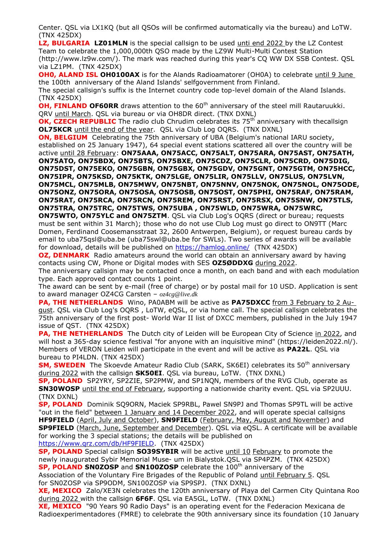Center. QSL via LX1KQ (but all QSOs will be confirmed automatically via the bureau) and LoTW. (TNX 425DX)

**LZ, BULGARIA LZ01MLN** is the special callsign to be used unti end 2022 by the LZ Contest Team to celebrate the 1,000,000th QSO made by the LZ9W Multi-Multi Contest Station (http://www.lz9w.com/). The mark was reached during this year's CQ WW DX SSB Contest. QSL via LZ1PM. (TNX 425DX)

**OH0, ALAND ISL OH0100AX** is for the Alands Radioamatorer (OH0A) to celebrate until 9 June the 100th anniversary of the Aland Islands' selfgovernment from Finland.

The special callsign's suffix is the Internet country code top-level domain of the Aland Islands. (TNX 425DX)

**OH, FINLAND OF60RR** draws attention to the 60<sup>th</sup> anniversary of the steel mill Rautaruukki. QRV until March. QSL via bureau or via OH8DR direct. (TNX DXNL)

**OK, CZECH REPUBLIC** The radio club Chrudim celebrates its 75<sup>th</sup> anniversary with thecallsign **OL75KCR** until the end of the year. QSL via Club Log OQRS. (TNX DXNL)

**ON, BELGIUM** Celebrating the 75th anniversary of UBA (Belgium's national IARU society, established on 25 January 1947), 64 special event stations scattered all over the country will be active until 28 February: **ON75AAA, ON75ACC, ON75ALT, ON75ARA, ON75AST, ON75ATH, ON75ATO, ON75BDX, ON75BTS, ON75BXE, ON75CDZ, ON75CLR, ON75CRD, ON75DIG, ON75DST, ON75EKO, ON75GBN, ON75GBX, ON75GDV, ON75GNT, ON75GTM, ON75HCC, ON75IPR, ON75KSD, ON75KTK, ON75LGE, ON75LIR, ON75LLV, ON75LUS, ON75LVN, ON75MCL, ON75MLB, ON75MWV, ON75NBT, ON75NNV, ON75NOK, ON75NOL, ON75ODE, ON75ONZ, ON75ORA, ON75OSA, ON75OSB, ON75OST, ON75PHI, ON75RAF, ON75RAM, ON75RAT, ON75RCA, ON75RCN, ON75REM, ON75RST, ON75RSX, ON75SNW, ON75TLS, ON75TRA, ON75TRC, ON75TWS, ON75UBA , ON75WLD, ON75WRA, ON75WRC,** 

**ON75WTO, ON75YLC and ON75ZTM**. QSL via Club Log's OQRS (direct or bureau; requests must be sent within 31 March); those who do not use Club Log must go direct to ON9TT (Marc Domen, Ferdinand Coosemansstraat 32, 2600 Antwerpen, Belgium), or request bureau cards by email to uba75qsl@uba.be (uba75swl@uba.be for SWLs). Two series of awards will be available for download, details will be published on <https://hamlog.online/>(TNX 425DX)

**OZ, DENMARK** Radio amateurs around the world can obtain an anniversary award by having contacts using CW, Phone or Digital modes with SES **OZ5ØDDXG** during 2022.

The anniversary callsign may be contacted once a month, on each band and with each modulation type. Each approved contact counts 1 point.

The award can be sent by e-mail (free of charge) or by postal mail for 10 USD. Application is sent to award manager OZ4CG Carsten – *oz4cg@live.dk*

**PA, THE NETHERLANDS** Wino, PA0ABM will be active as **PA75DXCC** from 3 February to 2 August. QSL via Club Log's OQRS, LoTW, eQSL, or via home call. The special callsign celebrates the 75th anniversary of the first post- World War II list of DXCC members, published in the July 1947 issue of QST. (TNX 425DX)

**PA, THE NETHERLANDS** The Dutch city of Leiden will be European City of Science in 2022, and will host a 365-day science festival "for anyone with an inquisitive mind" (https://leiden2022.nl/). Members of VERON Leiden will participate in the event and will be active as **PA22L**. QSL via bureau to PI4LDN. (TNX 425DX)

**SM, SWEDEN** The Skoevde Amateur Radio Club (SARK, SK6EI) celebrates its 50<sup>th</sup> anniversary during 2022 with the callsign **SK50EI**. QSL via bureau, LoTW. (TNX DXNL)

**SP, POLAND** SP2YRY, SP2ZIE, SP2PMW, and SP1NQN, members of the RVG Club, operate as **SN30WOSP** until the end of February, supporting a nationwide charity event. QSL via SP2UUU. (TNX DXNL)

**SP, POLAND** Dominik SQ9ORN, Maciek SP9RBL, Pawel SN9PJ and Thomas SP9TL will be active "out in the field" between 1 January and 14 December 2022, and will operate special callsigns **HF9FIELD** (April, July and October), **SN9FIELD** (February, May, August and November) and **SP9FIELD** (March, June, September and December). QSL via eQSL. A certificate will be available for working the 3 special stations; the details will be published on [https://www.qrz.com/db/HF9FIELD.](https://www.qrz.com/db/HF9FIELD) (TNX 425DX)

**SP, POLAND** Special callsign **SO39SYBIR** will be active until 10 February to promote the newly inaugurated Sybir Memorial Muse- um in Bialystok.QSL via SP4PZM. (TNX 425DX) **SP, POLAND SN0ZOSP** and **SN100ZOSP** celebrate the 100<sup>th</sup> anniversary of the

Association of the Voluntary Fire Brigades of the Republic of Poland until February 5. QSL for SN0ZOSP via SP9ODM, SN100ZOSP via SP9SPJ. (TNX DXNL)

**XE, MEXICO** Zalo/XE3N celebrates the 120th anniversary of Playa del Carmen City Quintana Roo during 2022 with the callsign **6F6F**. QSL via EA5GL, LoTW. (TNX DXNL)

**XE, MEXICO** "90 Years 90 Radio Days" is an operating event for the Federacion Mexicana de Radioexperimentadores (FMRE) to celebrate the 90th anniversary since its foundation (10 January